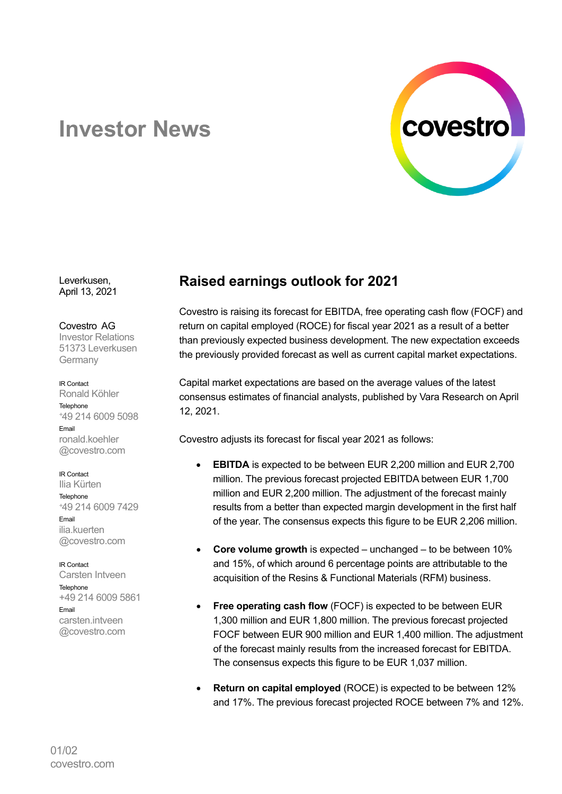

## **Investor News**

Leverkusen, April 13, 2021

Covestro AG Investor Relations 51373 Leverkusen Germany

IR Contact Ronald Köhler Telephone <sup>+</sup>49 214 6009 5098 Email ronald.koehler @covestro.com

IR Contact Ilia Kürten **Telephone** <sup>+</sup>49 214 6009 7429 Email ilia.kuerten @covestro.com

IR Contact Carsten Intveen Telephone +49 214 6009 5861 Email carsten.intveen @covestro.com

## **Raised earnings outlook for 2021**

Covestro is raising its forecast for EBITDA, free operating cash flow (FOCF) and return on capital employed (ROCE) for fiscal year 2021 as a result of a better than previously expected business development. The new expectation exceeds the previously provided forecast as well as current capital market expectations.

Capital market expectations are based on the average values of the latest consensus estimates of financial analysts, published by Vara Research on April 12, 2021.

Covestro adjusts its forecast for fiscal year 2021 as follows:

- **EBITDA** is expected to be between EUR 2,200 million and EUR 2,700 million. The previous forecast projected EBITDA between EUR 1,700 million and EUR 2,200 million. The adjustment of the forecast mainly results from a better than expected margin development in the first half of the year. The consensus expects this figure to be EUR 2,206 million.
- **Core volume growth** is expected unchanged to be between 10% and 15%, of which around 6 percentage points are attributable to the acquisition of the Resins & Functional Materials (RFM) business.
- **Free operating cash flow** (FOCF) is expected to be between EUR 1,300 million and EUR 1,800 million. The previous forecast projected FOCF between EUR 900 million and EUR 1,400 million. The adjustment of the forecast mainly results from the increased forecast for EBITDA. The consensus expects this figure to be EUR 1,037 million.
- **Return on capital employed** (ROCE) is expected to be between 12% and 17%. The previous forecast projected ROCE between 7% and 12%.